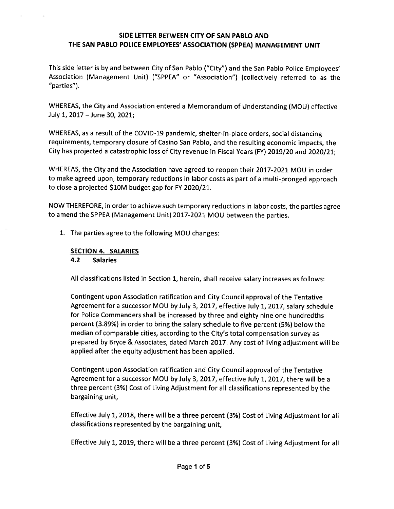This side letter is by and between City of San Pablo ("City") and the San Pablo Police Employees' Association (Management Unit) ("SPPEA" or "Association") (collectively referred to as the "parties").

WHEREAS, the City and Association entered a Memorandum of Understanding (MOU) effective July 1, 2017 - June 30, 2021;

WHEREAS, as a result of the COVID-19 pandemic, shelter-in-place orders, social distancing requirements, temporary closure of Casino San Pablo, and the resulting economic impacts, the City has projected a catastrophic loss of City revenue in Fiscal Years (FY) 2019/20 and 2020/21;

WHEREAS, the City and the Association have agreed to reopen their 2017-2021 MOU in order to make agreed upon, temporary reductions in labor costs as part of a multi-pronged approach to close a projected \$10M budget gap for FY 2020/21.

NOW THEREFORE, in order to achieve such temporary reductions in labor costs, the parties agree to amend the SPPEA(Management Unit) 2017-2021MOU between the parties.

1. The parties agree to the following MOU changes:

# SECTION 4. SALARIES

### 4.2 Salaries

All classifications listed in Section 1, herein, shall receive salary increases as follows

Contingent upon Association ratification and City Councilapprovalof the Tentative Agreement for a successor MOU by July 3, 2017, effective July 1, 2017, salary schedule for Police Commanders shall be increased by three and eighty nine one hundredths percent(3.89%) in order to bring the salary schedule to five percent(5%) below the median of comparable cities, according to the City's total compensation survey as prepared by Bryce & Associates, dated March 2017. Any cost of living adjustment willbe applied after the equity adjustment has been applied.

Contingent upon Association ratification and City Councilapprovalof the Tentative Agreement for a successor MOU by July 3, 2017, effective July 1, 2017, there will be a three percent (3%) Cost of Living Adjustment for all classifications represented by the bargaining unit,

Effective July 1, 2018, there will be a three percent (3%) Cost of Living Adjustment for all classifications represented by the bargaining unit,

Effective July 1, 2019, there will be a three percent (3%) Cost of Living Adjustment for all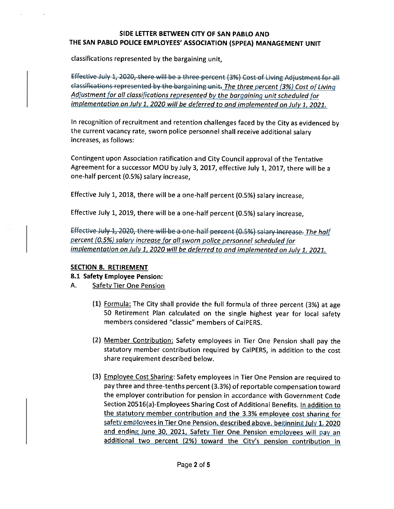classifications represented by the bargaining unit,

Effective July 1, 2020, there will be a three percent (3%) Cost of Living Adjustment for all i<del>ng unit. The three percent (3%) Cost of</del> Living Adjustment for all classifications represented by the bargaining unit scheduled for implementation on July 1, 2020 will be deferred to and implemented on July 1, 2021.

In recognition of recruitment and retention challenges faced by the City as evidenced by the current vacancy rate, sworn police personnel shall receive additional salary increases, as follows;

Contingent upon Association ratification and City Councilapprovalof the Tentative Agreement for a successor MOU by July 3, 2017, effective July 1, 2017, there will be a one-half percent(0.5%) salary increase,

Effective July 1, 2018, there will be a one-half percent (0.5%) salary increase,

Effective July 1, 2019, there will be a one-half percent (0.5%) salary increase,

Effective July 1, 2020, there will be a one-half percent (0.5%) salary increase. The half percent (0.5%) salary increase for all sworn police personnel scheduled for implementation on July 1, 2020 will be deferred to and implemented on July 1, 2021.

# SECTION 8. RETIREMENT

### 8.1 Safety Employee Pension:

- A. Safety Tier One Pension
	- (1) Formula: The City shall provide the full formula of three percent  $(3%)$  at age 50 Retirement Plan calculated on the single highest year for local safety members considered "classic" members of CalPERS.
	- (2) Member Contribution: Safety employees in Tier One Pension shall pay the statutory member contribution required by CalPERS, in addition to the cost share requirement described below.
	- (3) Employee Cost Sharing: Safety employees in Tier One Pension are required to pay three and three-tenths percent (3.3%) of reportable compensation toward the employer contribution for pension in accordance with Government Code Section 20516(a)-Employees Sharing Cost of Additional Benefits. In addition to the statutory member contribution and the 3.3% employee cost sharing for safety employees in Tier One Pension, described above, beginning July 1, 2020 and ending June 30, 2021, Safety Tier One Pension employees will pay an additional two percent (2%) toward the Citv's pension contribution in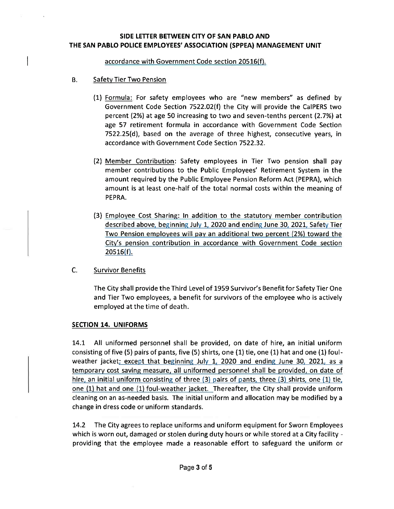accordance with Government Code section 20516(f)

- B. Safety Tier Two Pension
	- (1) Formula: For safety employees who are "new members" as defined by Government Code Section 7522.02(f) the City will provide the CalPERS two percent (2%) at age 50 increasing to two and seven-tenths percent (2.7%) at age 57 retirement formula in accordance with Government Code Section 7522.25(d), based on the average of three highest, consecutive years, in accordance with Government Code Section 7522.32
	- l2) Member Contribution: Safety employees in Tier Two pension shall pay member contributions to the Public Employees' Retirement System in the amount required by the Public Employee Pension Reform Act(PEPRA), which amount is at least one-half of the total normal costs within the meaning of PEPRA
	- (3) Employee Cost Sharing: In addition to the statutory member contribution described above, beginning July 1, 2020 and ending June 30, 2021, Safety Tier Two Pension employees will pay an additional two percent (2%) toward the City's pension contribution in accordance with Government Code section  $20516(f)$ .
- C. Survivor Benefits

The City shall provide the Third Level of 1959 Survivor's Benefit for Safety Tier One and Tier Two employees, a benefit for survivors of the employee who is actively employed at the time of death.

### SECTION 14. UNIFORMS

14.1 All uniformed personnel shall be provided, on date of hire, an initial uniform consisting of five (5) pairs of pants, five (5) shirts, one (1) tie, one (1) hat and one (1) foulweather jacket; except that beginning July 1, 2020 and ending June 30, 2021, as a temporary cost saving measure. all uniformed personnel shall be provided, on date of hire, an initial uniform consisting of three (3) pairs of pants, three (3) shirts, one (1) tie, one (1) hat and one (1) foul-weather jacket. Thereafter, the City shall provide uniform cleaning on an as-needed basis. The initial uniform and allocation may be modified by a change in dress code or uniform standards.

14.2 The City agrees to replace uniforms and uniform equipment for Sworn Employees which is worn out, damaged or stolen during duty hours or while stored at a City facility providing that the employee made a reasonable effort to safeguard the uniform or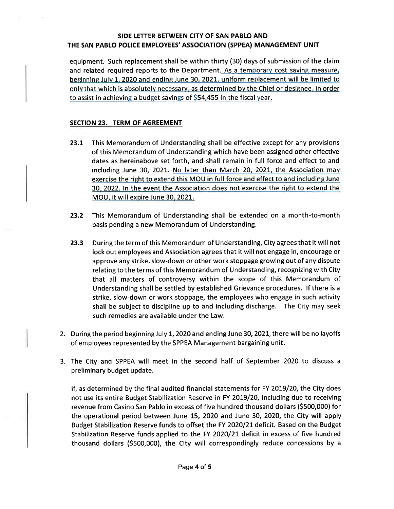equipment. Such replacement shall be within thirty (30) days of submission of the claim and related required reports to the Department. As a temporary cost saving measure, beginning July 1, 2020 and ending June 30, 2021, uniform replacement will be limited to onlv that which is absolutely necessary, as determined by the Chief or designee, in order to assist in achieving a budget savings of \$54,455 in the fiscal year.

## SECTION 23. TERM OF AGREEMENT

- 23.1 This Memorandum of Understanding shall be effective except for any provisions of this Memorandum of Understanding which have been assigned other effective dates as hereinabove set forth, and shall remain in full force and effect to and including June 30, 2021. No later than March 20, 2021, the Association may exercise the right to extend this MOU in full force and effect to and including June 30, 2022. In the event the Association does not exercise the right to extend the MOU, it willexpire June 3Q. 2021.
- 23.2 This Memorandum of Understanding shall be extended on a month-to-month basis pending a new Memorandum of Understanding
- 23.3 During the term of this Memorandum of Understanding, City agrees that it will not lock out employees and Association agrees that it will not engage in, encourage or approve any strike, slow-down or other work stoppage growing out of any dispute relating to the terms of this Memorandum of Understanding, recognizing with City that all matters of controversy within the scope of this Memorandum of Understanding shall be settled by established Grievance procedures. If there is a strike, slow-down or work stoppage, the employees who engage in such activity shall be subject to discipline up to and including discharge. The City may seek such remedies are available under the Law.
- 2. During the period beginning July 1, 2020 and ending June 30, 2021, there will be no layoffs of employees represented by the SPPEA Management bargaining unit.
- 3. The City and SPPEA will meet in the second half of September 2020 to discuss a preliminary budget update

If, as determined by the final audited financial statements for FY 2019/20, the City does not use its entire Budget Stabilization Reserve in FY 2019/20, including due to receiving revenue from Casino San Pablo in excess of five hundred thousand dollars(\$500,000) for the operational period between June 15, 2020 and June 30, 2020, the City will apply Budget Stabilization Reserve funds to offset the FY 2020/21 deficit. Based on the Budget Stabilization Reserve funds applied to the FY 2020/21 deficit in excess of five hundred thousand dollars (\$500,000), the City will correspondingly reduce concessions by a